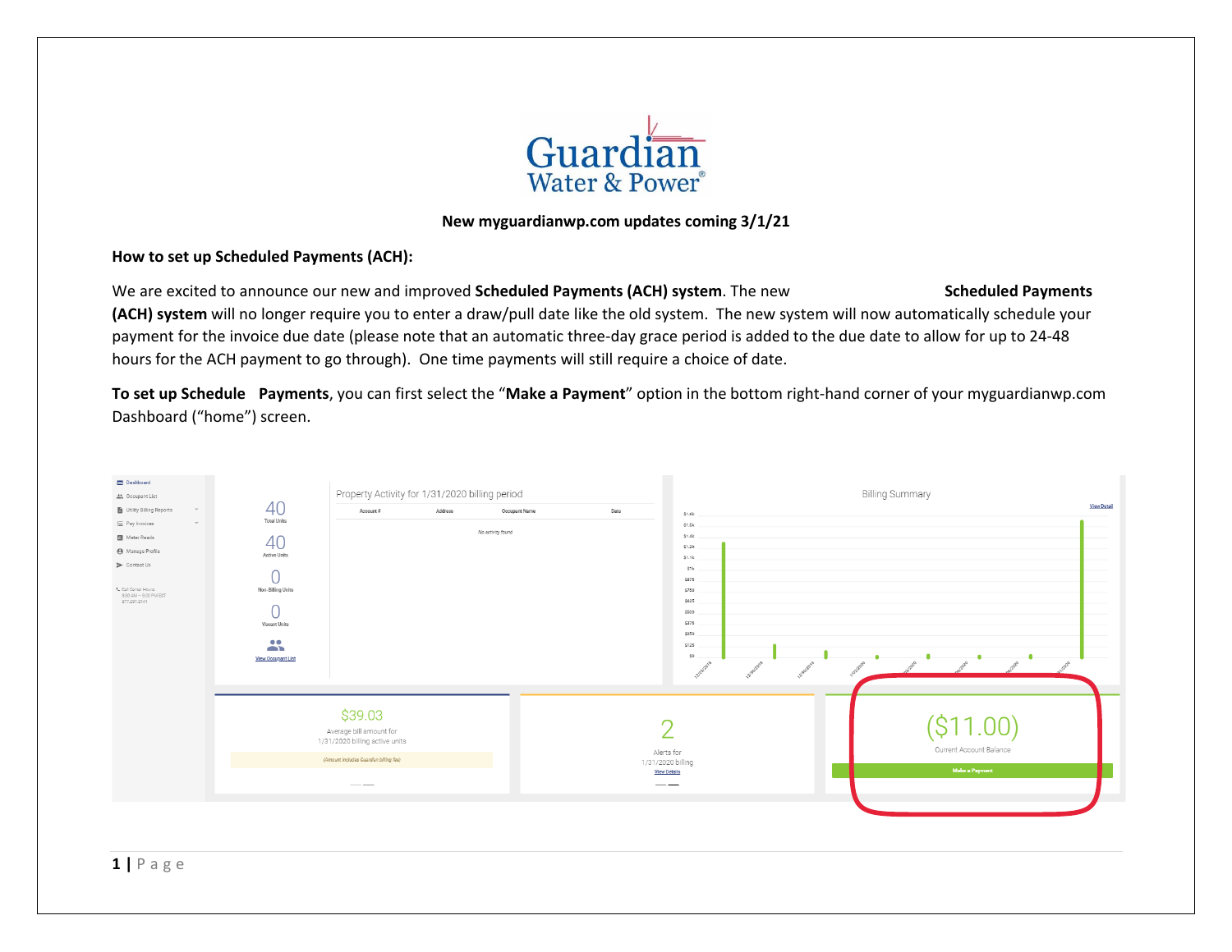

#### **New myguardianwp.com updates coming 3/1/21**

#### **How to set up Scheduled Payments (ACH):**

We are excited to announce our new and improved **Scheduled Payments (ACH) system**. The new **Automatic Recurring Scheduled Payments (ACH) system** will no longer require you to enter a draw/pull date like the old system. The new system will now automatically schedule your payment for the invoice due date (please note that an automatic three-day grace period is added to the due date to allow for up to 24-48 hours for the ACH payment to go through). One time payments will still require a choice of date.

**To set up Scheduled Payments**, you can first select the "**Make a Payment**" option in the bottom right-hand corner of your myguardianwp.com Dashboard ("home") screen.

| Dashboard                                                     |                           | Property Activity for 1/31/2020 billing period                                                                                                                                                                                                                                                                                                                                                                                                                        |         |                   |      |                           | <b>Billing Summary</b>  |                    |
|---------------------------------------------------------------|---------------------------|-----------------------------------------------------------------------------------------------------------------------------------------------------------------------------------------------------------------------------------------------------------------------------------------------------------------------------------------------------------------------------------------------------------------------------------------------------------------------|---------|-------------------|------|---------------------------|-------------------------|--------------------|
| the Occupant List<br>Utility Billing Reports<br>$\mathcal{L}$ | 40                        | Account #                                                                                                                                                                                                                                                                                                                                                                                                                                                             | Address | Occupant Name     | Date |                           |                         | <b>View Detail</b> |
| E Pay Invoices<br>$\rightarrow$                               | <b>Total Units</b>        |                                                                                                                                                                                                                                                                                                                                                                                                                                                                       |         |                   |      | \$1.6k<br>\$1.5k          |                         |                    |
| <b>B</b> Meter Reads                                          |                           |                                                                                                                                                                                                                                                                                                                                                                                                                                                                       |         | No activity found |      | \$1.4k                    |                         |                    |
| <b>4</b> Manage Profile                                       | 40<br>Active Units        |                                                                                                                                                                                                                                                                                                                                                                                                                                                                       |         |                   |      | \$1.3k                    |                         |                    |
| $\triangleright$ Contact Us                                   |                           |                                                                                                                                                                                                                                                                                                                                                                                                                                                                       |         |                   |      | \$1.1k<br>\$1k            |                         |                    |
|                                                               | Non-Billing Units         |                                                                                                                                                                                                                                                                                                                                                                                                                                                                       |         |                   |      | \$875                     |                         |                    |
| L Call Center Hours:<br>9:30 AM = 9:00 PM EST                 |                           |                                                                                                                                                                                                                                                                                                                                                                                                                                                                       |         |                   |      | \$750                     |                         |                    |
| 877.291.3141                                                  |                           |                                                                                                                                                                                                                                                                                                                                                                                                                                                                       |         |                   |      | \$625<br>\$500            |                         |                    |
|                                                               | Vacant Units              |                                                                                                                                                                                                                                                                                                                                                                                                                                                                       |         |                   |      | \$375                     |                         |                    |
|                                                               |                           |                                                                                                                                                                                                                                                                                                                                                                                                                                                                       |         |                   |      | \$250                     |                         |                    |
|                                                               | $\mathbf{a}$              |                                                                                                                                                                                                                                                                                                                                                                                                                                                                       |         |                   |      | \$125                     |                         |                    |
|                                                               | <b>View Occupant List</b> |                                                                                                                                                                                                                                                                                                                                                                                                                                                                       |         |                   |      |                           |                         |                    |
|                                                               |                           |                                                                                                                                                                                                                                                                                                                                                                                                                                                                       |         |                   |      |                           |                         |                    |
|                                                               |                           |                                                                                                                                                                                                                                                                                                                                                                                                                                                                       |         |                   |      |                           |                         |                    |
|                                                               |                           | \$39.03                                                                                                                                                                                                                                                                                                                                                                                                                                                               |         |                   |      |                           |                         |                    |
|                                                               |                           |                                                                                                                                                                                                                                                                                                                                                                                                                                                                       |         |                   | C    |                           |                         |                    |
|                                                               |                           | Average bill amount for<br>1/31/2020 billing active units                                                                                                                                                                                                                                                                                                                                                                                                             |         |                   |      |                           |                         |                    |
|                                                               |                           |                                                                                                                                                                                                                                                                                                                                                                                                                                                                       |         |                   |      | Alerts for                | Current Account Balance |                    |
|                                                               |                           | (Amount includes Guardian billing fee)                                                                                                                                                                                                                                                                                                                                                                                                                                |         |                   |      | 1/31/2020 billing         | <b>Make a Payment</b>   |                    |
|                                                               |                           | $\hspace{1.0cm} \overbrace{ } \hspace{1.0cm} \overbrace{ } \hspace{1.0cm} \overbrace{ } \hspace{1.0cm} \overbrace{ } \hspace{1.0cm} \overbrace{ } \hspace{1.0cm} \overbrace{ } \hspace{1.0cm} \overbrace{ } \hspace{1.0cm} \overbrace{ } \hspace{1.0cm} \overbrace{ } \hspace{1.0cm} \overbrace{ } \hspace{1.0cm} \overbrace{ } \hspace{1.0cm} \overbrace{ } \hspace{1.0cm} \overbrace{ } \hspace{1.0cm} \overbrace{ } \hspace{1.0cm} \overbrace{ } \hspace{1.0cm} \$ |         |                   |      | <b>View Details</b><br>__ |                         |                    |
|                                                               |                           |                                                                                                                                                                                                                                                                                                                                                                                                                                                                       |         |                   |      |                           |                         |                    |
|                                                               |                           |                                                                                                                                                                                                                                                                                                                                                                                                                                                                       |         |                   |      |                           |                         |                    |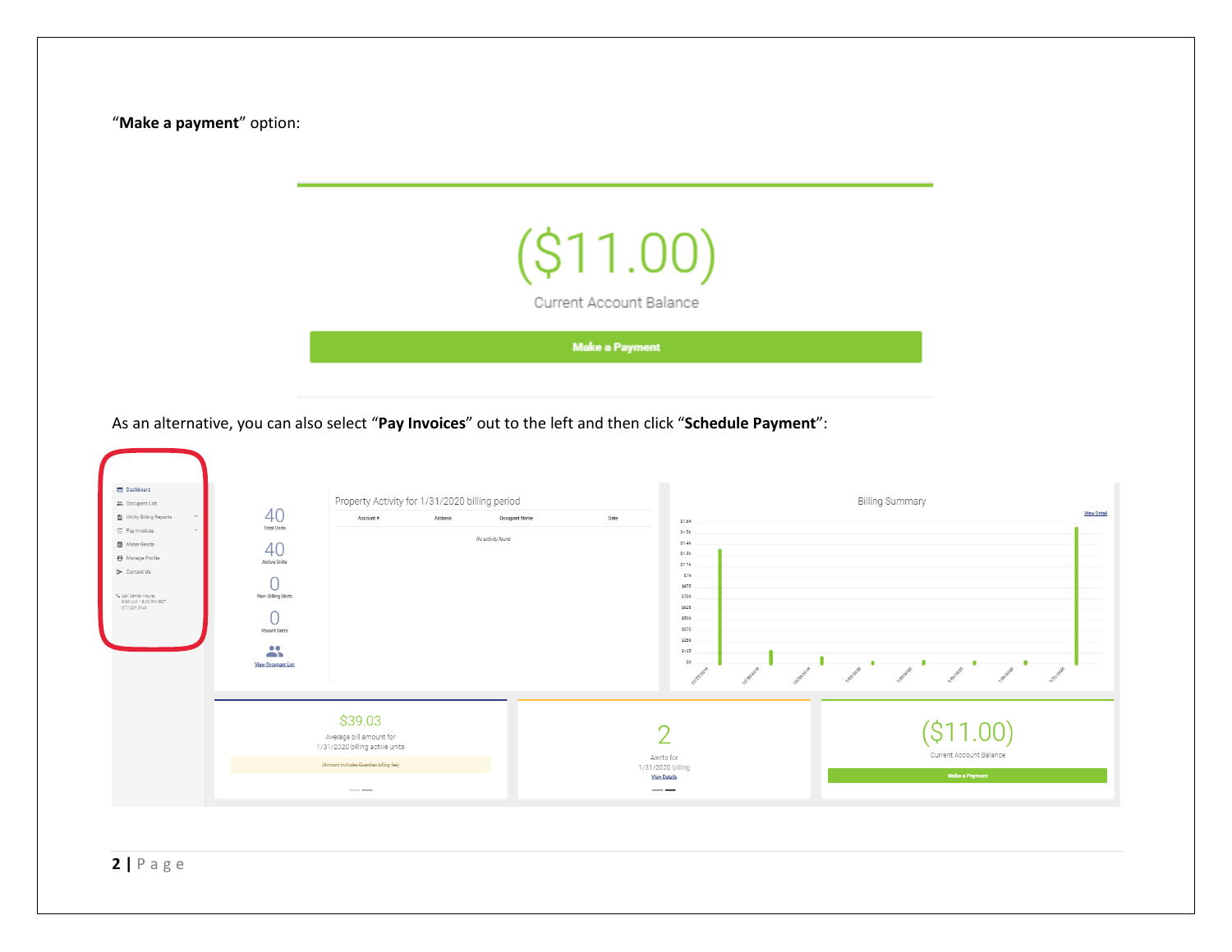"**Make a payment**" option:



**Make a Payment** 

As an alternative, you can also select "**Pay Invoices**" out to the left and then click "**Schedule Payment**":



**2 |** P a g e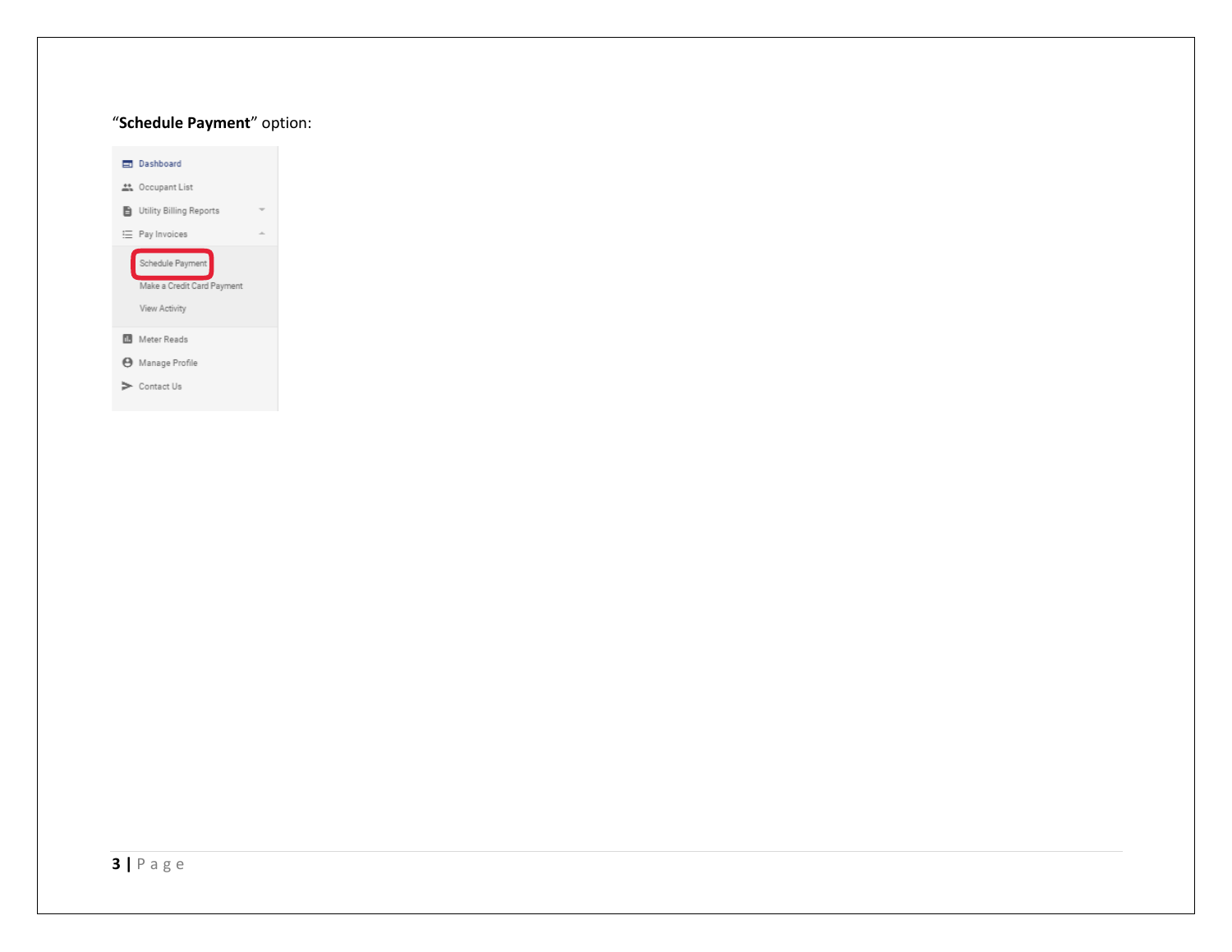#### "**Schedule Payment**" option:

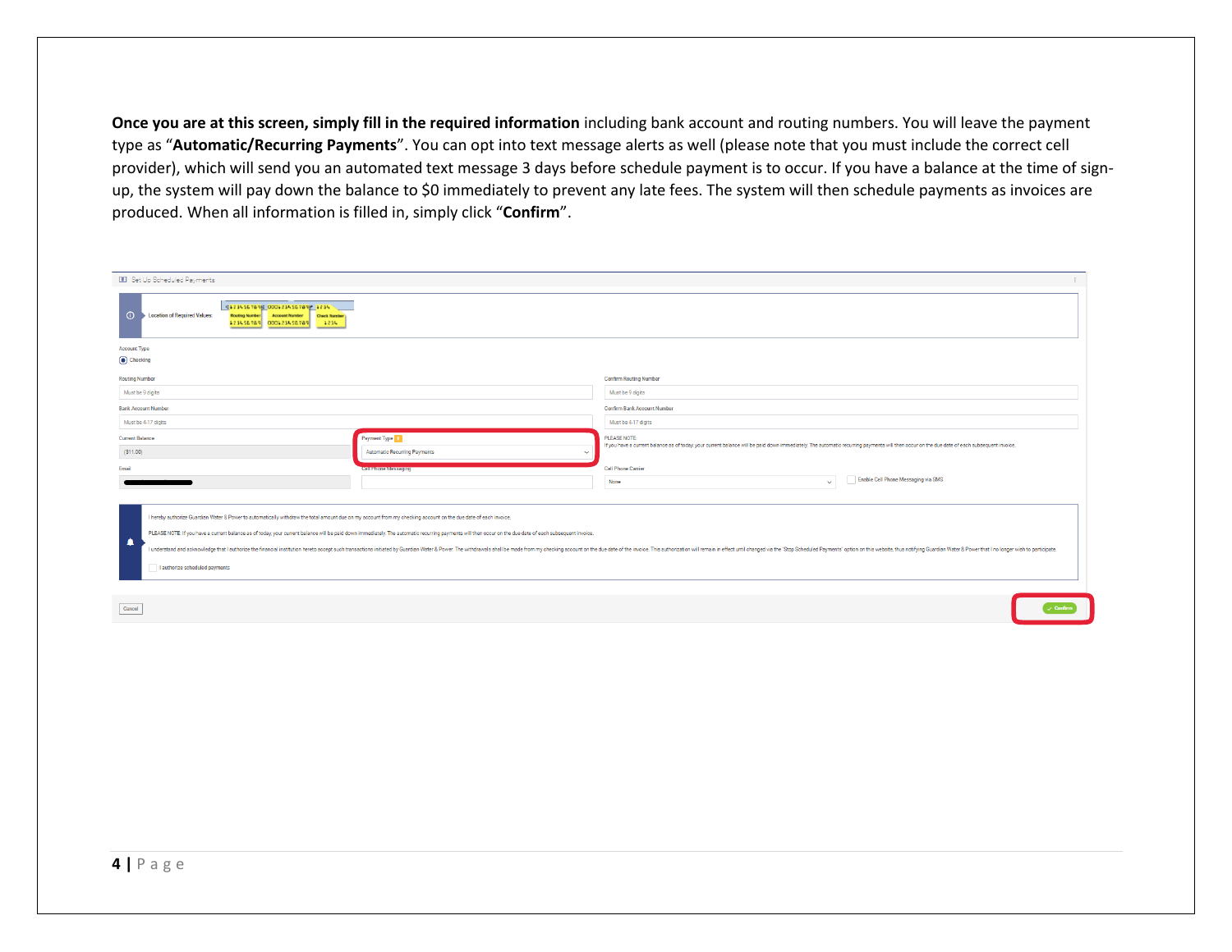**Once you are at this screen, simply fill in the required information** including bank account and routing numbers. You will leave the payment type as "**Automatic/Recurring Payments**". You can opt into text message alerts as well (please note that you must include the correct cell provider), which will send you an automated text message 3 days before schedule payment is to occur. If you have a balance at the time of signup, the system will pay down the balance to \$0 immediately to prevent any late fees. The system will then schedule payments as invoices are produced. When all information is filled in, simply click "**Confirm**".

| Set Up Scheduled Payments                                                                                                                                                                                                                                                                                                                                                                                                                                                                                                                                                                                                                              |                                                                                                                                                                                                                                                                                                                                                                                                                                            |                                                                                                                                                                                                             |                                     |  |
|--------------------------------------------------------------------------------------------------------------------------------------------------------------------------------------------------------------------------------------------------------------------------------------------------------------------------------------------------------------------------------------------------------------------------------------------------------------------------------------------------------------------------------------------------------------------------------------------------------------------------------------------------------|--------------------------------------------------------------------------------------------------------------------------------------------------------------------------------------------------------------------------------------------------------------------------------------------------------------------------------------------------------------------------------------------------------------------------------------------|-------------------------------------------------------------------------------------------------------------------------------------------------------------------------------------------------------------|-------------------------------------|--|
| 41234567896 000123456789 1234<br>$\odot$<br><b>Location of Required Values:</b><br>Routing Number Account Number<br><b>Check Number</b><br>23456789 000123456789<br>1234<br>$\frac{1}{2} \left( \frac{1}{2} \right) \left( \frac{1}{2} \right) \left( \frac{1}{2} \right) \left( \frac{1}{2} \right) \left( \frac{1}{2} \right) \left( \frac{1}{2} \right) \left( \frac{1}{2} \right) \left( \frac{1}{2} \right) \left( \frac{1}{2} \right) \left( \frac{1}{2} \right) \left( \frac{1}{2} \right) \left( \frac{1}{2} \right) \left( \frac{1}{2} \right) \left( \frac{1}{2} \right) \left( \frac{1}{2} \right) \left( \frac{1}{2} \right) \left( \frac$ |                                                                                                                                                                                                                                                                                                                                                                                                                                            |                                                                                                                                                                                                             |                                     |  |
| <b>Account Type</b><br>Checking                                                                                                                                                                                                                                                                                                                                                                                                                                                                                                                                                                                                                        |                                                                                                                                                                                                                                                                                                                                                                                                                                            |                                                                                                                                                                                                             |                                     |  |
| <b>Routing Number</b>                                                                                                                                                                                                                                                                                                                                                                                                                                                                                                                                                                                                                                  |                                                                                                                                                                                                                                                                                                                                                                                                                                            | <b>Confirm Routing Number</b>                                                                                                                                                                               |                                     |  |
| Must be 9 digits                                                                                                                                                                                                                                                                                                                                                                                                                                                                                                                                                                                                                                       |                                                                                                                                                                                                                                                                                                                                                                                                                                            | Must be 9 digits                                                                                                                                                                                            |                                     |  |
| <b>Bank Account Number</b>                                                                                                                                                                                                                                                                                                                                                                                                                                                                                                                                                                                                                             |                                                                                                                                                                                                                                                                                                                                                                                                                                            | <b>Confirm Bank Account Number</b>                                                                                                                                                                          |                                     |  |
| Must be 4-17 digits                                                                                                                                                                                                                                                                                                                                                                                                                                                                                                                                                                                                                                    |                                                                                                                                                                                                                                                                                                                                                                                                                                            | Must be 4-17 digits                                                                                                                                                                                         |                                     |  |
| Payment Type<br><b>Current Balance</b><br>(S11.00)<br><b>Automatic Recurring Payments</b><br>$\checkmark$                                                                                                                                                                                                                                                                                                                                                                                                                                                                                                                                              |                                                                                                                                                                                                                                                                                                                                                                                                                                            | PLEASE NOTE:<br>If you have a current balance as of today, your current balance will be paid down immediately. The automatic recurring payments will then occur on the due date of each subsequent invoice. |                                     |  |
| <b>Email</b>                                                                                                                                                                                                                                                                                                                                                                                                                                                                                                                                                                                                                                           | <b>Cell Phone Messaging</b>                                                                                                                                                                                                                                                                                                                                                                                                                | <b>Cell Phone Carrier</b>                                                                                                                                                                                   |                                     |  |
|                                                                                                                                                                                                                                                                                                                                                                                                                                                                                                                                                                                                                                                        |                                                                                                                                                                                                                                                                                                                                                                                                                                            | None<br>$\sim$ 1                                                                                                                                                                                            | Enable Cell Phone Messaging via SMS |  |
| I hereby authorize Guardian Water & Power to automatically withdraw the total amount due on my account from my checking account on the due date of each invoice.<br>٠<br>I authorize scheduled payments                                                                                                                                                                                                                                                                                                                                                                                                                                                | PLEASE NOTE: If you have a current balance as of today, your current balance will be paid down immediately. The automatic recurring payments will then occur on the due date of each subsequent invoice.<br>I understand and acknowledge that I authorize the financial institution hereto accept such transactions initiated by Guardian Water & Power. The withdrawals shall be made from my checking account on the due date of the inv |                                                                                                                                                                                                             |                                     |  |
| Cancel                                                                                                                                                                                                                                                                                                                                                                                                                                                                                                                                                                                                                                                 |                                                                                                                                                                                                                                                                                                                                                                                                                                            |                                                                                                                                                                                                             |                                     |  |
|                                                                                                                                                                                                                                                                                                                                                                                                                                                                                                                                                                                                                                                        |                                                                                                                                                                                                                                                                                                                                                                                                                                            |                                                                                                                                                                                                             |                                     |  |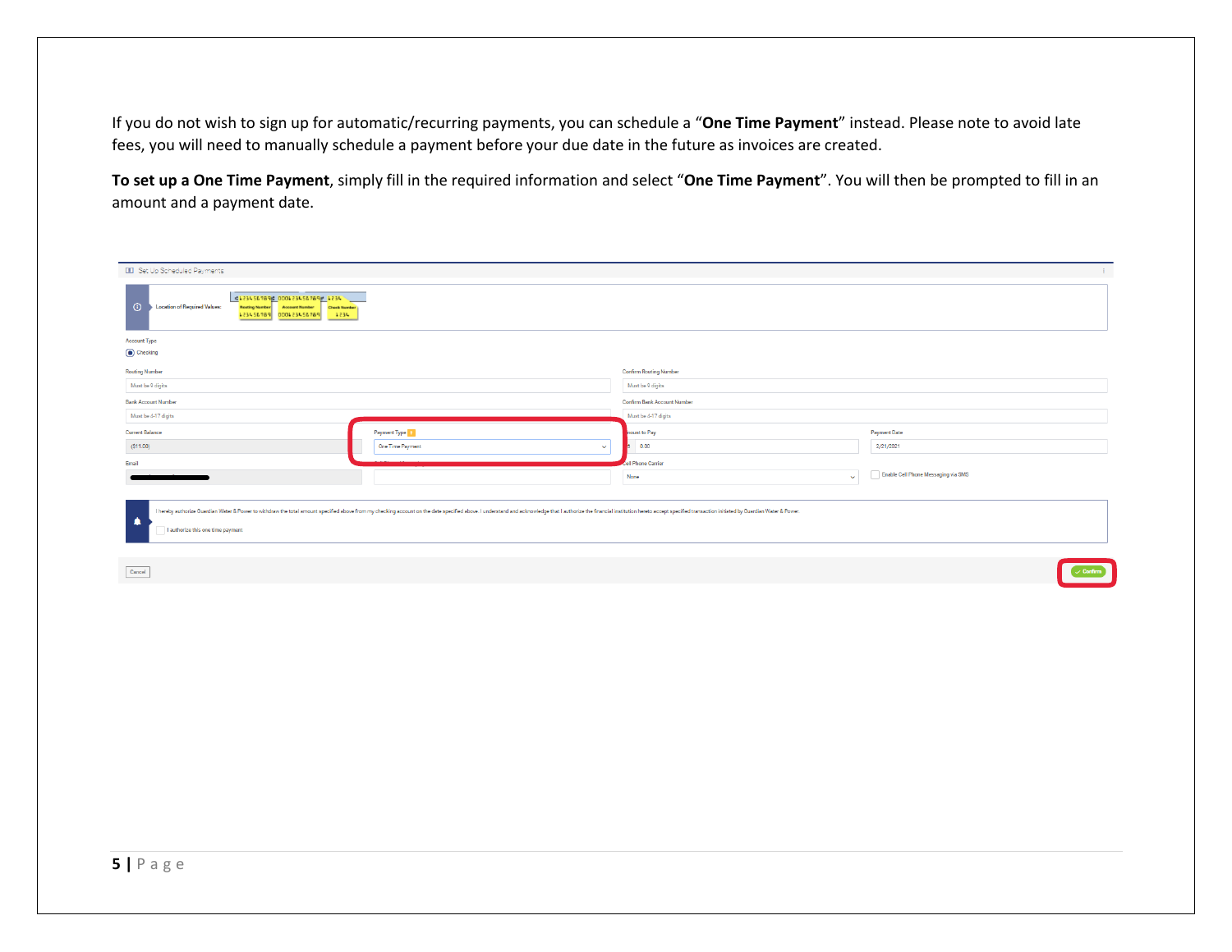If you do not wish to sign up for automatic/recurring payments, you can schedule a "**One Time Payment**" instead. Please note to avoid late fees, you will need to manually schedule a payment before your due date in the future as invoices are created.

To set up a One Time Payment, simply fill in the required information and select "One Time Payment". You will then be prompted to fill in an amount and a payment date.

| <b>III</b> Set Up Scheduled Payments                                                                                                                                                                                                                                                                                                                                                                                                                                                                                                                                                                                                                                                                                                                                                                                                                                                                                                                                                                                                                                                                                          |                                                                                                                                                                                                                                |                               | Æ.                                  |  |
|-------------------------------------------------------------------------------------------------------------------------------------------------------------------------------------------------------------------------------------------------------------------------------------------------------------------------------------------------------------------------------------------------------------------------------------------------------------------------------------------------------------------------------------------------------------------------------------------------------------------------------------------------------------------------------------------------------------------------------------------------------------------------------------------------------------------------------------------------------------------------------------------------------------------------------------------------------------------------------------------------------------------------------------------------------------------------------------------------------------------------------|--------------------------------------------------------------------------------------------------------------------------------------------------------------------------------------------------------------------------------|-------------------------------|-------------------------------------|--|
| 41234567896 000123456789 1234<br>$\odot$<br>Location of Required Values:<br>Routing Number Account Number Check Number<br>$-4836$<br>P87 32 456 4000   P87 32 456<br>$\frac{1}{2} \left( \frac{1}{2} \right) \left( \frac{1}{2} \right) \left( \frac{1}{2} \right) \left( \frac{1}{2} \right) \left( \frac{1}{2} \right) \left( \frac{1}{2} \right) \left( \frac{1}{2} \right) \left( \frac{1}{2} \right) \left( \frac{1}{2} \right) \left( \frac{1}{2} \right) \left( \frac{1}{2} \right) \left( \frac{1}{2} \right) \left( \frac{1}{2} \right) \left( \frac{1}{2} \right) \left( \frac{1}{2} \right) \left( \frac{1}{2} \right) \left( \frac$<br>$\frac{1}{2} \left( \frac{1}{2} \right) \left( \frac{1}{2} \right) \left( \frac{1}{2} \right) \left( \frac{1}{2} \right) \left( \frac{1}{2} \right) \left( \frac{1}{2} \right) \left( \frac{1}{2} \right) \left( \frac{1}{2} \right) \left( \frac{1}{2} \right) \left( \frac{1}{2} \right) \left( \frac{1}{2} \right) \left( \frac{1}{2} \right) \left( \frac{1}{2} \right) \left( \frac{1}{2} \right) \left( \frac{1}{2} \right) \left( \frac{1}{2} \right) \left( \frac$ |                                                                                                                                                                                                                                |                               |                                     |  |
| <b>Account Type</b>                                                                                                                                                                                                                                                                                                                                                                                                                                                                                                                                                                                                                                                                                                                                                                                                                                                                                                                                                                                                                                                                                                           |                                                                                                                                                                                                                                |                               |                                     |  |
| Checking                                                                                                                                                                                                                                                                                                                                                                                                                                                                                                                                                                                                                                                                                                                                                                                                                                                                                                                                                                                                                                                                                                                      |                                                                                                                                                                                                                                |                               |                                     |  |
| <b>Routing Number</b>                                                                                                                                                                                                                                                                                                                                                                                                                                                                                                                                                                                                                                                                                                                                                                                                                                                                                                                                                                                                                                                                                                         |                                                                                                                                                                                                                                | <b>Confirm Routing Number</b> |                                     |  |
| Must be 9 digits                                                                                                                                                                                                                                                                                                                                                                                                                                                                                                                                                                                                                                                                                                                                                                                                                                                                                                                                                                                                                                                                                                              |                                                                                                                                                                                                                                | Must be 9 digits              |                                     |  |
| <b>Bank Account Number</b>                                                                                                                                                                                                                                                                                                                                                                                                                                                                                                                                                                                                                                                                                                                                                                                                                                                                                                                                                                                                                                                                                                    |                                                                                                                                                                                                                                | Confirm Bank Account Number   |                                     |  |
| Must be 4-17 digits                                                                                                                                                                                                                                                                                                                                                                                                                                                                                                                                                                                                                                                                                                                                                                                                                                                                                                                                                                                                                                                                                                           |                                                                                                                                                                                                                                | Must be 4-17 digits           |                                     |  |
| <b>Current Balance</b>                                                                                                                                                                                                                                                                                                                                                                                                                                                                                                                                                                                                                                                                                                                                                                                                                                                                                                                                                                                                                                                                                                        | Payment Type                                                                                                                                                                                                                   | nount to Pay                  | <b>Payment Date</b>                 |  |
| (S11.00)                                                                                                                                                                                                                                                                                                                                                                                                                                                                                                                                                                                                                                                                                                                                                                                                                                                                                                                                                                                                                                                                                                                      | One Time Payment<br>$\checkmark$                                                                                                                                                                                               | 0.00                          | 2/21/2021                           |  |
| Email                                                                                                                                                                                                                                                                                                                                                                                                                                                                                                                                                                                                                                                                                                                                                                                                                                                                                                                                                                                                                                                                                                                         |                                                                                                                                                                                                                                | ell Phone Carrier             |                                     |  |
|                                                                                                                                                                                                                                                                                                                                                                                                                                                                                                                                                                                                                                                                                                                                                                                                                                                                                                                                                                                                                                                                                                                               |                                                                                                                                                                                                                                | None<br>$\sim$                | Enable Cell Phone Messaging via SMS |  |
|                                                                                                                                                                                                                                                                                                                                                                                                                                                                                                                                                                                                                                                                                                                                                                                                                                                                                                                                                                                                                                                                                                                               |                                                                                                                                                                                                                                |                               |                                     |  |
|                                                                                                                                                                                                                                                                                                                                                                                                                                                                                                                                                                                                                                                                                                                                                                                                                                                                                                                                                                                                                                                                                                                               | I hereby authorize Guardian Water & Power to withdraw the total amount specified above from my checking account on the date specified above. I understand and acknowledge that I authorize the financial institution hereto ac |                               |                                     |  |
| ∙<br>I authorize this one time payment                                                                                                                                                                                                                                                                                                                                                                                                                                                                                                                                                                                                                                                                                                                                                                                                                                                                                                                                                                                                                                                                                        |                                                                                                                                                                                                                                |                               |                                     |  |
|                                                                                                                                                                                                                                                                                                                                                                                                                                                                                                                                                                                                                                                                                                                                                                                                                                                                                                                                                                                                                                                                                                                               |                                                                                                                                                                                                                                |                               |                                     |  |
| Cancel                                                                                                                                                                                                                                                                                                                                                                                                                                                                                                                                                                                                                                                                                                                                                                                                                                                                                                                                                                                                                                                                                                                        |                                                                                                                                                                                                                                |                               |                                     |  |
|                                                                                                                                                                                                                                                                                                                                                                                                                                                                                                                                                                                                                                                                                                                                                                                                                                                                                                                                                                                                                                                                                                                               |                                                                                                                                                                                                                                |                               |                                     |  |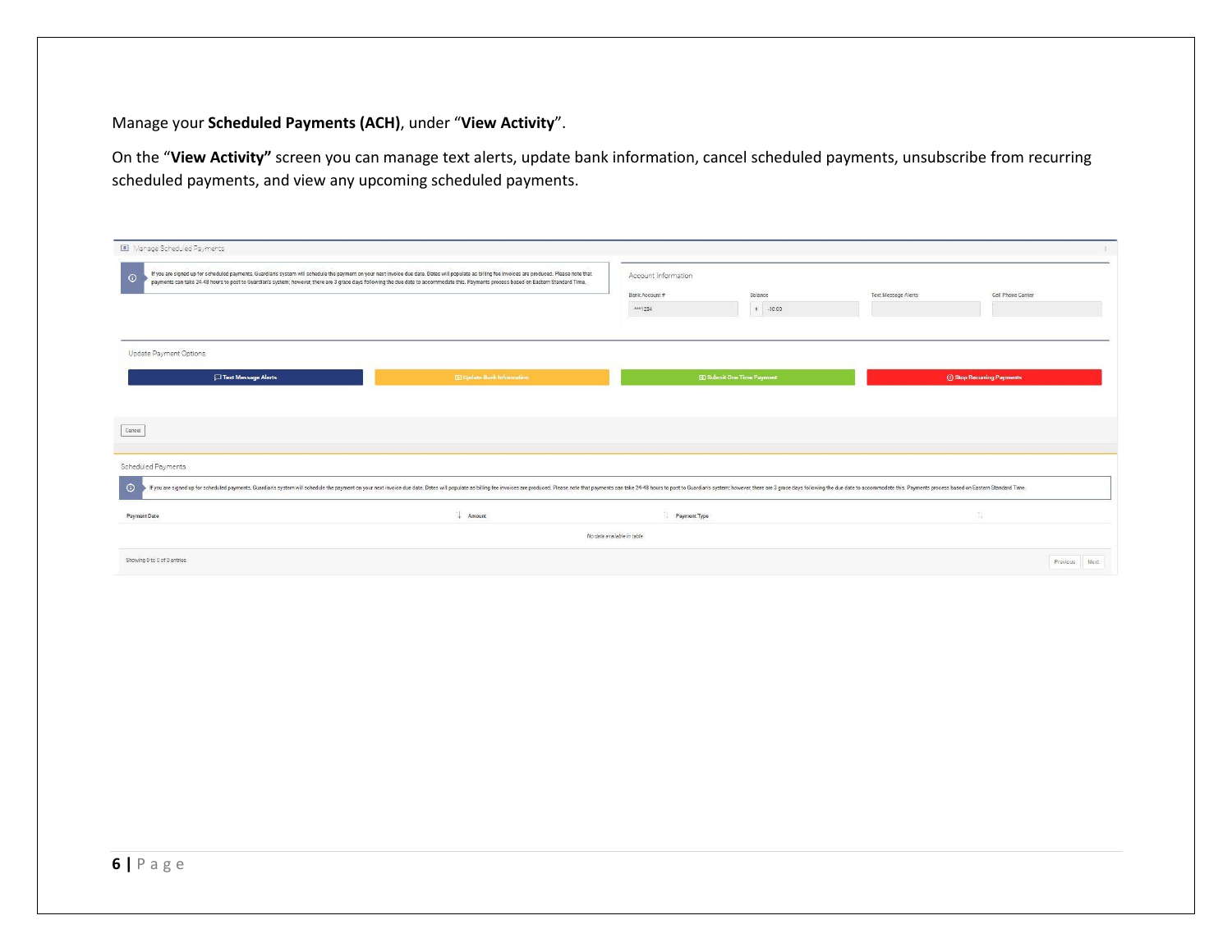#### Manage your **Scheduled Payments (ACH)**, under "**View Activity**".

On the "**View Activity"** screen you can manage text alerts, update bank information, cancel scheduled payments, unsubscribe from recurring scheduled payments, and view any upcoming scheduled payments.

| [11] Manage Scheduled Payments                          |                                                                                                                                                                                                                                                                                                                                                                                                |                            |                                   |                     |                             |
|---------------------------------------------------------|------------------------------------------------------------------------------------------------------------------------------------------------------------------------------------------------------------------------------------------------------------------------------------------------------------------------------------------------------------------------------------------------|----------------------------|-----------------------------------|---------------------|-----------------------------|
| $\odot$                                                 | If you are signed up for scheduled payments, Guardian's system will schedule the payment on your next invoice due date. Dates will populate as billing fee invoices are produced. Please note that<br>payments can take 24-48 hours to post to Guardian's system; however, there are 3 grace days following the due date to accommodate this. Payments process based on Eastern Standard Time. | Account Information        |                                   |                     |                             |
|                                                         |                                                                                                                                                                                                                                                                                                                                                                                                | Bank Account #             | Balance                           | Text Message Alerts | Cell Phone Carrier          |
|                                                         |                                                                                                                                                                                                                                                                                                                                                                                                | $***1234$                  | $$ -10.00$                        |                     |                             |
| Update Payment Options<br>Text Message Alerts           | <b>B3</b> Update Bank Information                                                                                                                                                                                                                                                                                                                                                              |                            | <b>El Submit One Time Payment</b> |                     | (b) Stop Recurring Payments |
|                                                         |                                                                                                                                                                                                                                                                                                                                                                                                |                            |                                   |                     |                             |
|                                                         |                                                                                                                                                                                                                                                                                                                                                                                                |                            |                                   |                     |                             |
|                                                         |                                                                                                                                                                                                                                                                                                                                                                                                |                            |                                   |                     |                             |
|                                                         | If you are signed up for scheduled payments, Guardian's system will schedule the payment on your next invoice due date. Dates will populate as billing fee invoices are produced. Please note that payments can take 24-48 hou                                                                                                                                                                 |                            |                                   |                     |                             |
|                                                         | <b>Amount</b>                                                                                                                                                                                                                                                                                                                                                                                  | Payment Type               |                                   |                     | 66<br>151                   |
| Cancel<br>Scheduled Payments<br>$\odot$<br>Payment Date |                                                                                                                                                                                                                                                                                                                                                                                                | No data available in table |                                   |                     |                             |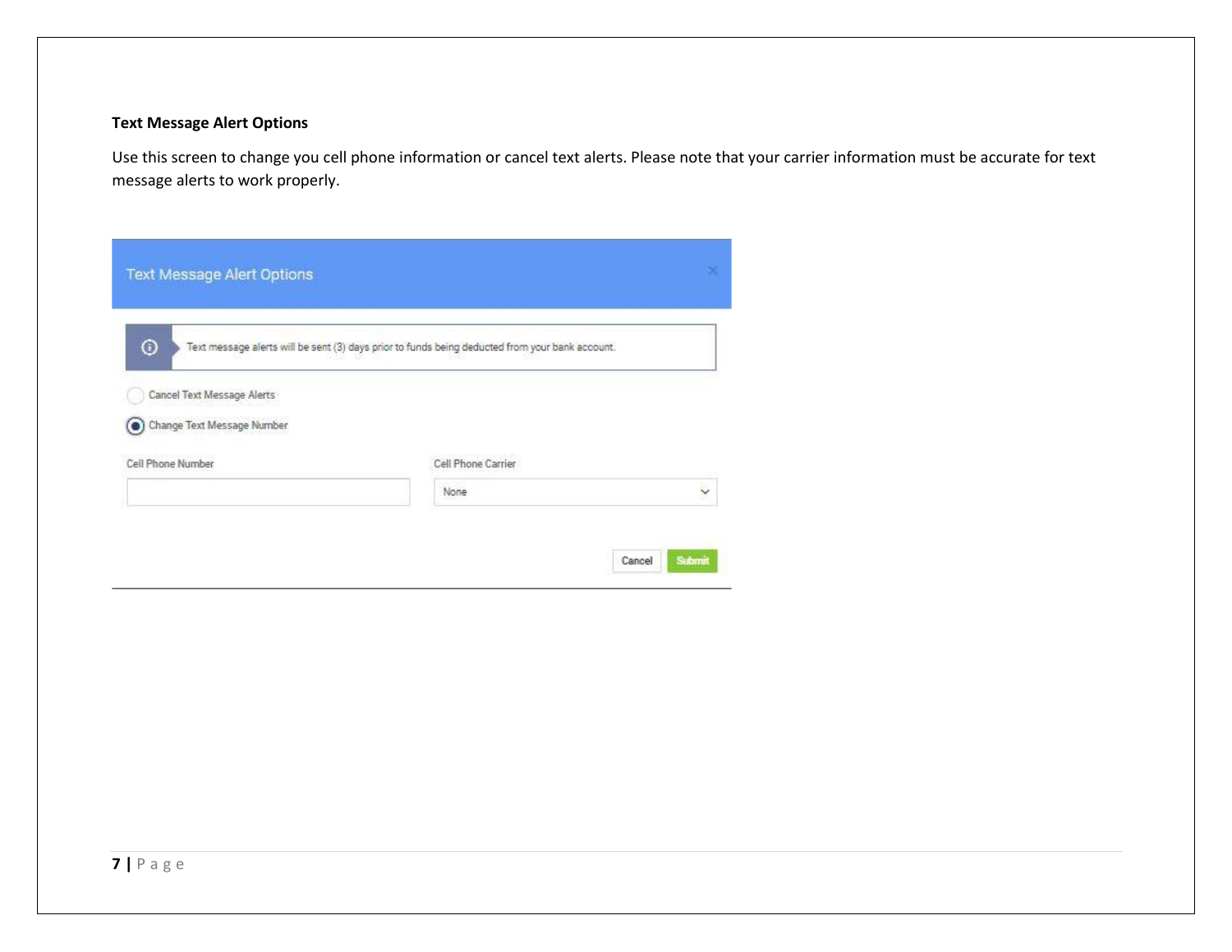#### **Text Message Alert Options**

Use this screen to change you cell phone information or cancel text alerts. Please note that your carrier information must be accurate for text message alerts to work properly.

| $\odot$                    | Text message alerts will be sent (3) days prior to funds being deducted from your bank account. |  |
|----------------------------|-------------------------------------------------------------------------------------------------|--|
| Cancel Text Message Alerts |                                                                                                 |  |
|                            |                                                                                                 |  |
| Change Text Message Number |                                                                                                 |  |
| Cell Phone Number          | Cell Phone Carrier                                                                              |  |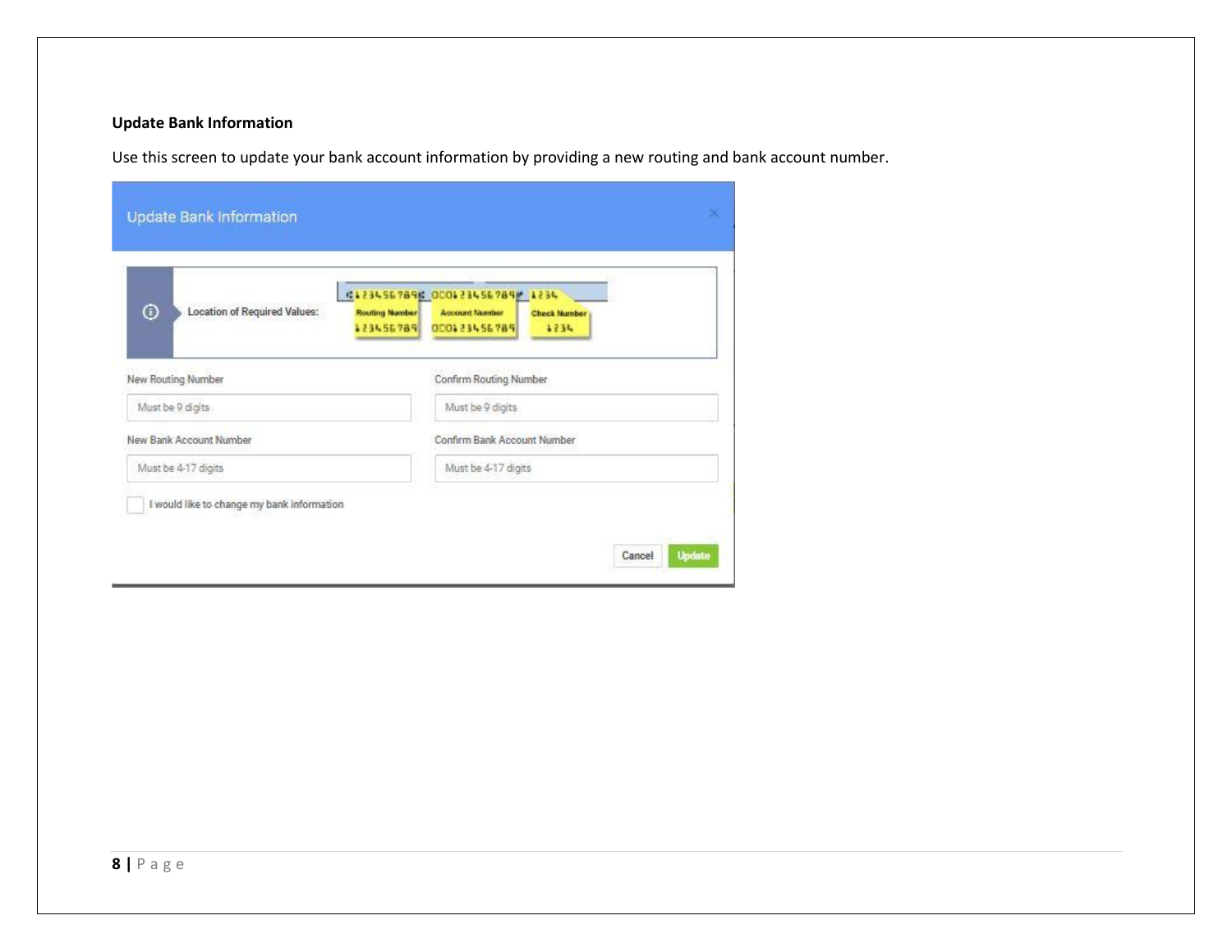#### **Update Bank Information**

Use this screen to update your bank account information by providing a new routing and bank account number.

| $^\copyright$<br>Location of Required Values: | #1234567896 000123456789 1234<br><b>Routing Number</b><br><b>Account Number</b><br><b>Check Number</b><br>000123456789<br>123456789<br>4234 |
|-----------------------------------------------|---------------------------------------------------------------------------------------------------------------------------------------------|
| New Routing Number                            | Confirm Routing Number                                                                                                                      |
| Must be 9 digits                              | Must be 9 digits                                                                                                                            |
| New Bank Account Number                       | Confirm Bank Account Number                                                                                                                 |
| Must be 4-17 digits                           | Must be 4-17 digits                                                                                                                         |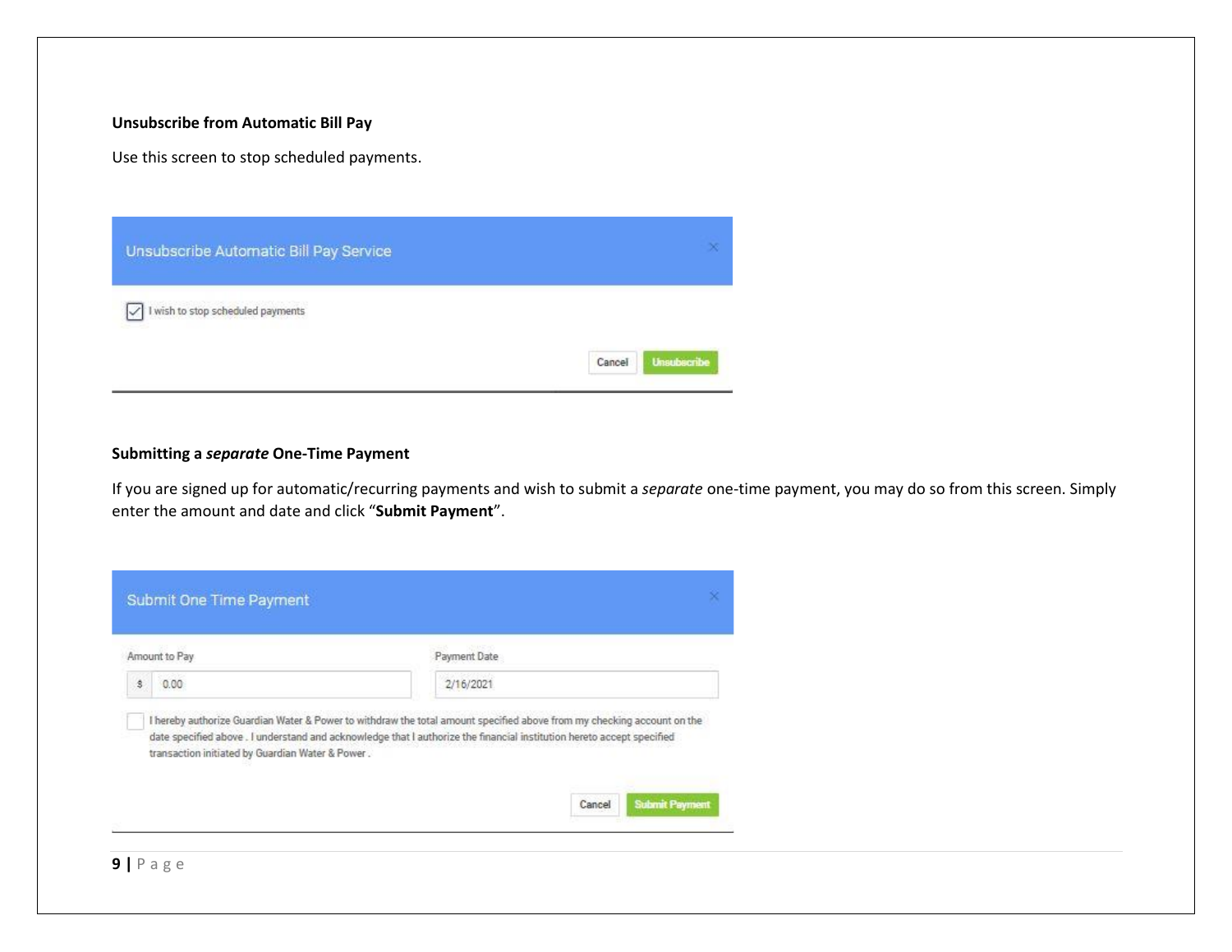#### **Unsubscribe from Automatic Bill Pay**

Use this screen to stop scheduled payments.

| Unsubscribe Automatic Bill Pay Service                 |                              |
|--------------------------------------------------------|------------------------------|
| $\boxed{\checkmark}$ I wish to stop scheduled payments | <b>Unsubscribe</b><br>Cancel |

#### **Submitting a** *separate* **One-Time Payment**

If you are signed up for automatic/recurring payments and wish to submit a *separate* one-time payment, you may do so from this screen. Simply enter the amount and date and click "**Submit Payment**".

| Amount to Pay | Payment Date                                                                                                                                                                                                                                    |
|---------------|-------------------------------------------------------------------------------------------------------------------------------------------------------------------------------------------------------------------------------------------------|
| ŝ<br>0.00     | 2/16/2021                                                                                                                                                                                                                                       |
|               | I hereby authorize Guardian Water & Power to withdraw the total amount specified above from my checking account on the<br>date specified above. I understand and acknowledge that I authorize the financial institution hereto accept specified |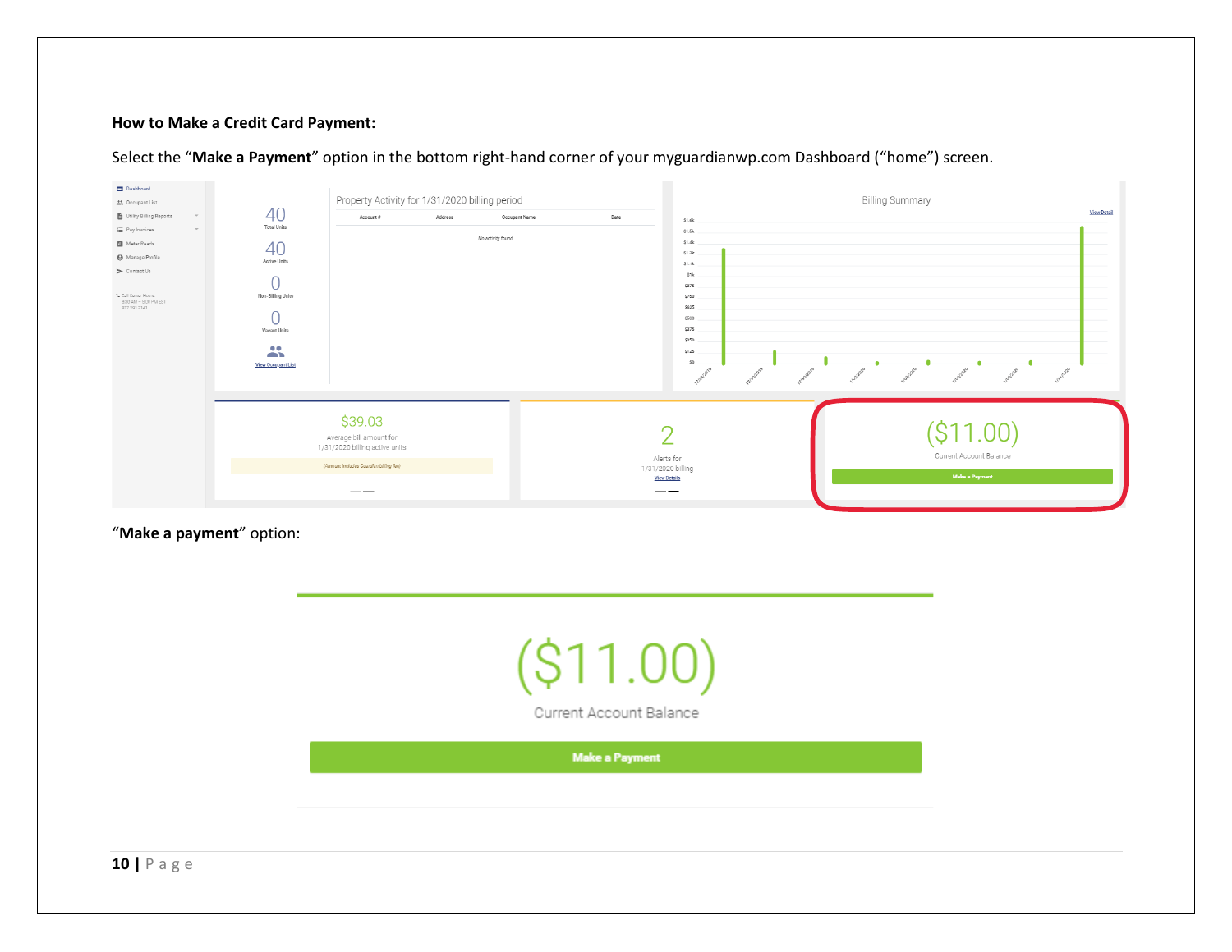#### **How to Make a Credit Card Payment:**

| Dashboard<br>the Occupant List                                                                                                                                                                                                     |                                                                                                                                                   | Property Activity for 1/31/2020 billing period                                                                                                                                                                                                                                                                                                                                                                                                                             |         |                                    |      | <b>Billing Summary</b>                                                                                                       |                                                  |                    |
|------------------------------------------------------------------------------------------------------------------------------------------------------------------------------------------------------------------------------------|---------------------------------------------------------------------------------------------------------------------------------------------------|----------------------------------------------------------------------------------------------------------------------------------------------------------------------------------------------------------------------------------------------------------------------------------------------------------------------------------------------------------------------------------------------------------------------------------------------------------------------------|---------|------------------------------------|------|------------------------------------------------------------------------------------------------------------------------------|--------------------------------------------------|--------------------|
| Utility Billing Reports<br>$\mathcal{L}$<br>E Pay Invoices<br>$\overline{\phantom{a}}$<br><b>B</b> Meter Reads<br>A Manage Profile<br>$\triangleright$ Contact Us<br>L Call Center Hours:<br>9:30 AM = 9:00 PM EST<br>877,291,3141 | 40<br><b>Total Units</b><br>40<br>Active Units<br>Non-Billing Units<br>◡<br>Vacant Units<br>$\bullet$ $\bullet$<br>œ<br><b>View Occupant List</b> | Account #                                                                                                                                                                                                                                                                                                                                                                                                                                                                  | Address | Occupant Name<br>No activity found | Date | \$1.6k<br>\$1.5k<br>\$1.4k<br>\$1.3k<br>\$1.1k<br>\$1k<br>\$875<br>\$750<br>\$625<br>\$500<br>\$375<br>\$250<br>\$125<br>\$0 |                                                  | <b>View Detail</b> |
|                                                                                                                                                                                                                                    |                                                                                                                                                   | \$39.03<br>Average bill amount for<br>1/31/2020 billing active units<br>(Amount includes Guardian billing fee)                                                                                                                                                                                                                                                                                                                                                             |         |                                    |      | Alerts for<br>1/31/2020 billing<br><b>View Details</b>                                                                       | Current Account Balance<br><b>Make a Payment</b> |                    |
|                                                                                                                                                                                                                                    |                                                                                                                                                   | $\frac{1}{2} \left( \frac{1}{2} \right) \left( \frac{1}{2} \right) \left( \frac{1}{2} \right) \left( \frac{1}{2} \right) \left( \frac{1}{2} \right) \left( \frac{1}{2} \right) \left( \frac{1}{2} \right) \left( \frac{1}{2} \right) \left( \frac{1}{2} \right) \left( \frac{1}{2} \right) \left( \frac{1}{2} \right) \left( \frac{1}{2} \right) \left( \frac{1}{2} \right) \left( \frac{1}{2} \right) \left( \frac{1}{2} \right) \left( \frac{1}{2} \right) \left( \frac$ |         |                                    |      | __                                                                                                                           |                                                  |                    |

Select the "**Make a Payment**" option in the bottom right-hand corner of your myguardianwp.com Dashboard ("home") screen.

"**Make a payment**" option:

**10 |** P a g e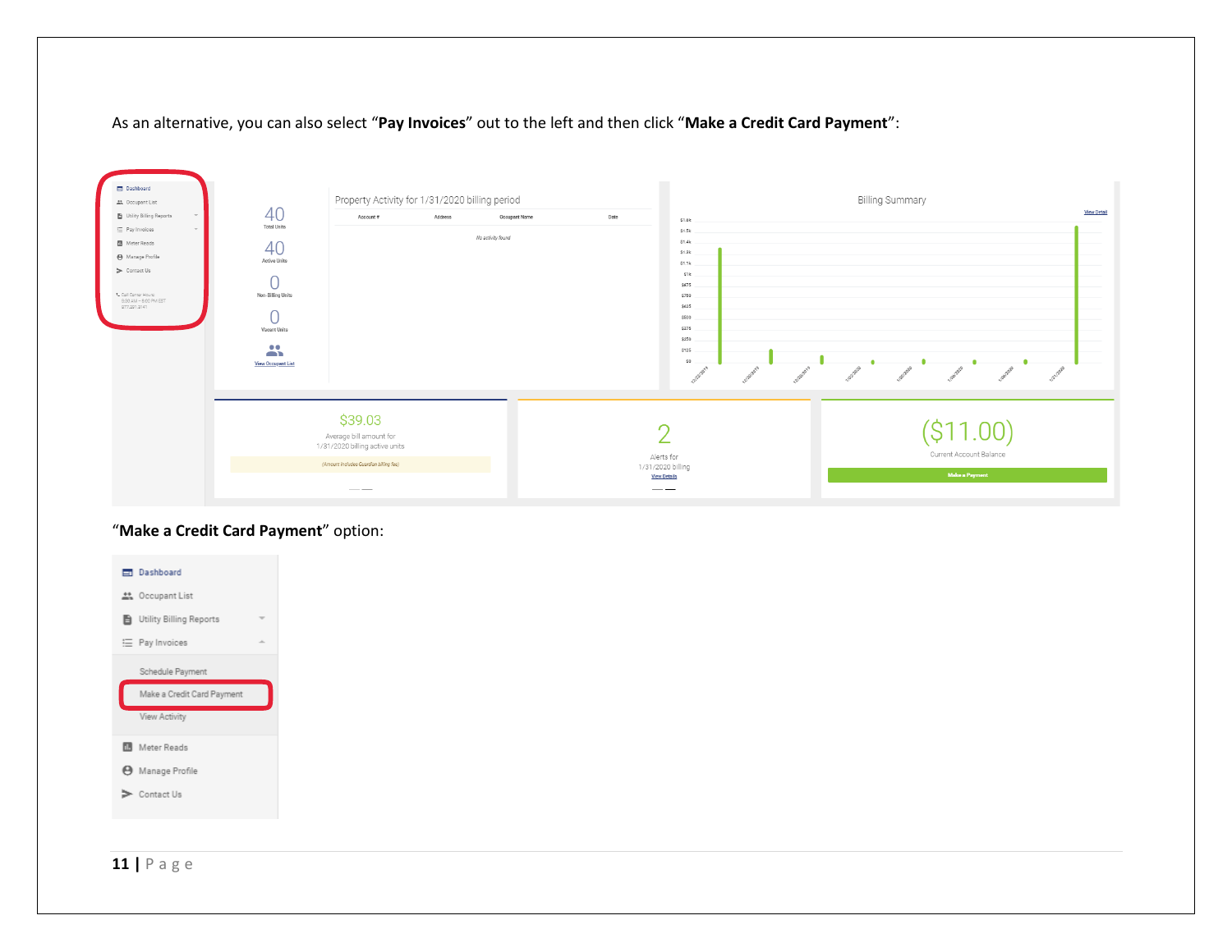#### As an alternative, you can also select "**Pay Invoices**" out to the left and then click "**Make a Credit Card Payment**":



#### "**Make a Credit Card Payment**" option:



**11 |** P a g e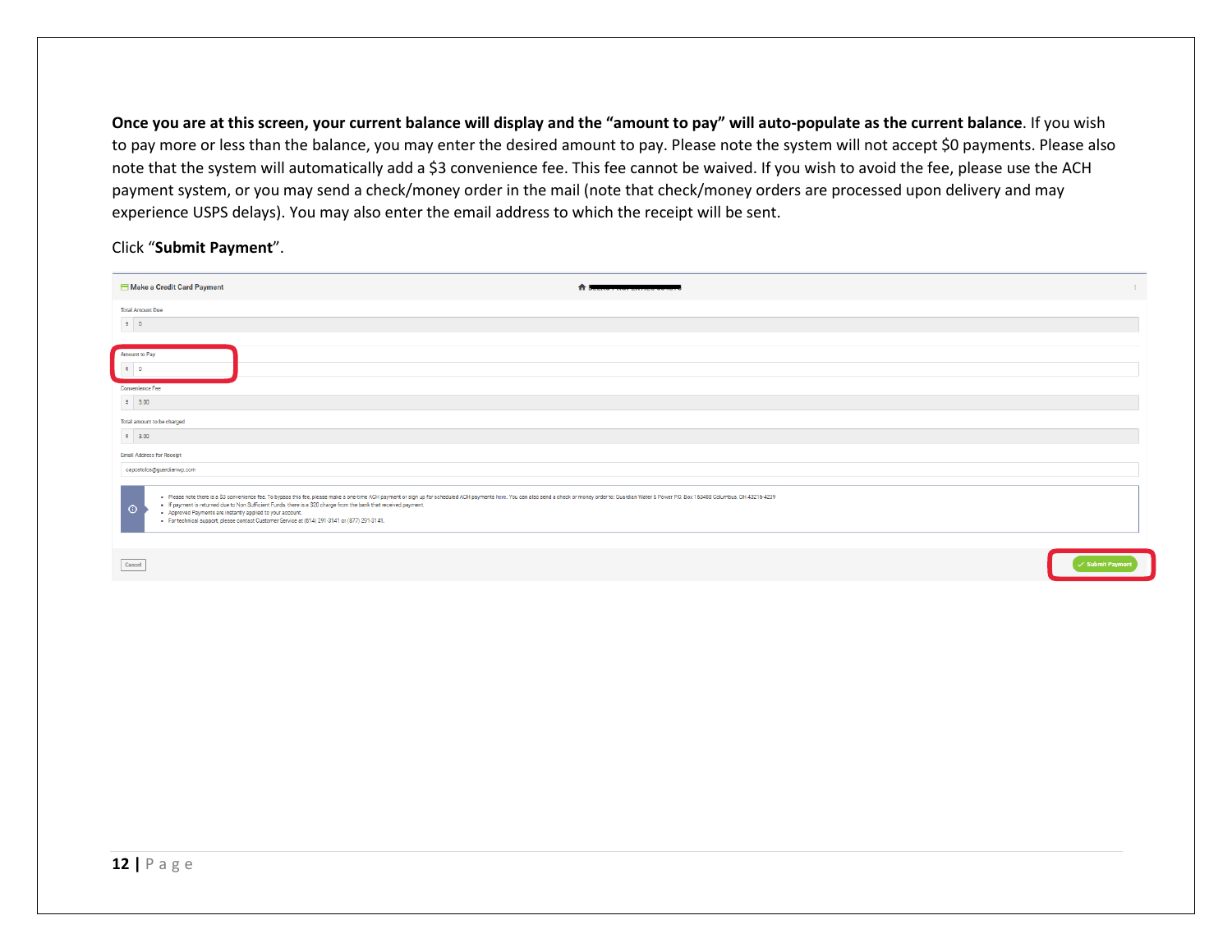**Once you are at this screen, your current balance will display and the "amount to pay" will auto-populate as the current balance**. If you wish to pay more or less than the balance, you may enter the desired amount to pay. Please note the system will not accept \$0 payments. Please also note that the system will automatically add a \$3 convenience fee. This fee cannot be waived. If you wish to avoid the fee, please use the ACH payment system, or you may send a check/money order in the mail (note that check/money orders are processed upon delivery and may experience USPS delays). You may also enter the email address to which the receipt will be sent.

#### Click "**Submit Payment**".

| Make a Credit Card Payment<br>合臣                                                                                                                                                                                                                                                                                                                                                                                                                                                                                               |                            |
|--------------------------------------------------------------------------------------------------------------------------------------------------------------------------------------------------------------------------------------------------------------------------------------------------------------------------------------------------------------------------------------------------------------------------------------------------------------------------------------------------------------------------------|----------------------------|
| <b>Total Amount Due</b>                                                                                                                                                                                                                                                                                                                                                                                                                                                                                                        |                            |
| $ \mathcal{S} =0$                                                                                                                                                                                                                                                                                                                                                                                                                                                                                                              |                            |
|                                                                                                                                                                                                                                                                                                                                                                                                                                                                                                                                |                            |
| Amount to Pay                                                                                                                                                                                                                                                                                                                                                                                                                                                                                                                  |                            |
| $\bullet$ 0                                                                                                                                                                                                                                                                                                                                                                                                                                                                                                                    |                            |
| Convenience Fee                                                                                                                                                                                                                                                                                                                                                                                                                                                                                                                |                            |
| $ \mathbf{\$} =3.00$                                                                                                                                                                                                                                                                                                                                                                                                                                                                                                           |                            |
| Total amount to be charged                                                                                                                                                                                                                                                                                                                                                                                                                                                                                                     |                            |
| \$3.00                                                                                                                                                                                                                                                                                                                                                                                                                                                                                                                         |                            |
| <b>Email Address for Receipt</b>                                                                                                                                                                                                                                                                                                                                                                                                                                                                                               |                            |
| capostolos@guardianwp.com                                                                                                                                                                                                                                                                                                                                                                                                                                                                                                      |                            |
| . Please note there is a \$3 convenience fee. To bypass this fee, please make a one-time ACH payment or sign up for scheduled ACH payments here. You can also send a check or money order to: Guardian Water & Power P.O. Box 1<br>. If payment is returned due to Non Sufficient Funds, there is a \$20 charge from the bank that received payment.<br>$\odot$<br>. Approved Payments are instantly applied to your account.<br>· For technical support, please contact Customer Service at (614) 291-3141 or (877) 291-3141. |                            |
| Cancel                                                                                                                                                                                                                                                                                                                                                                                                                                                                                                                         | $\checkmark$ Submit Paymen |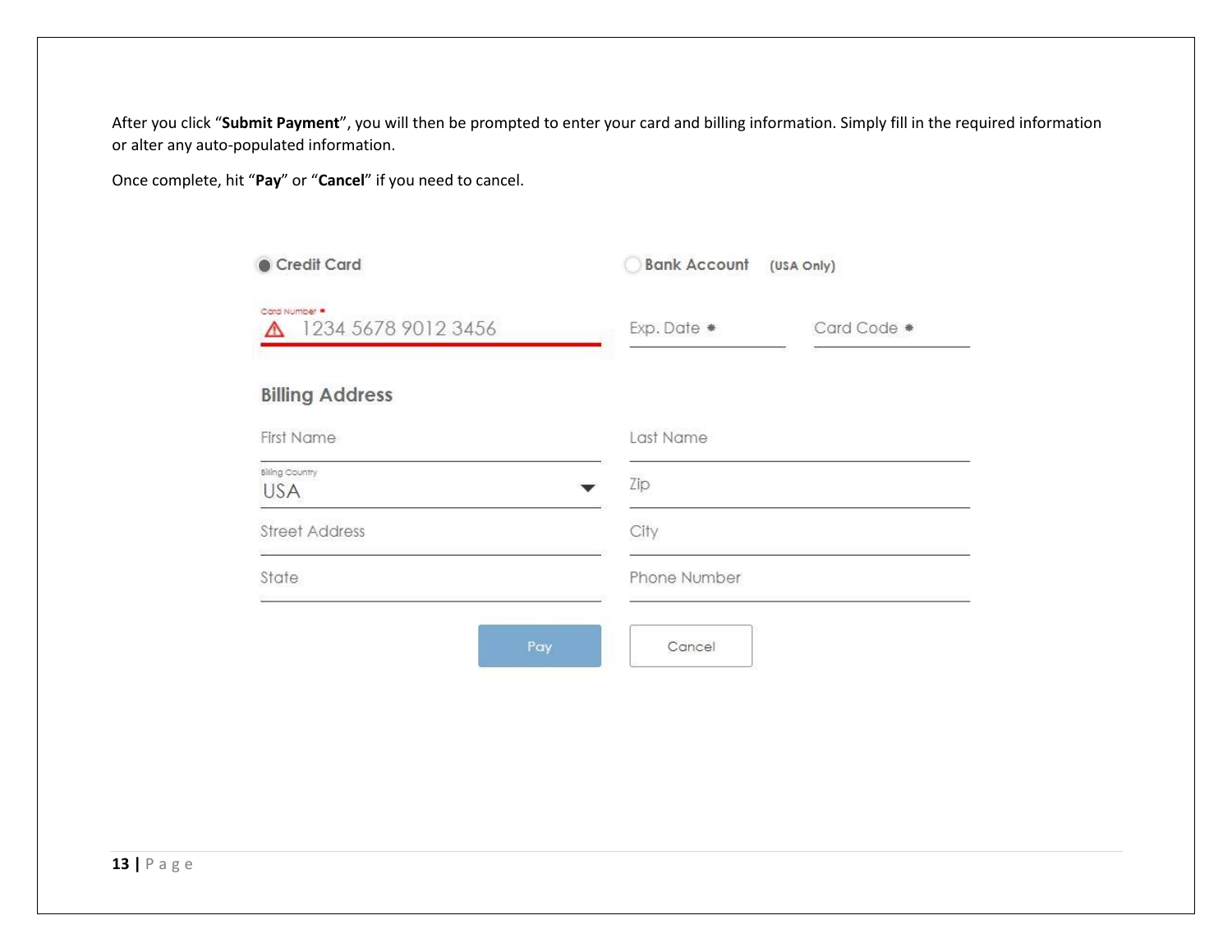After you click "**Submit Payment**", you will then be prompted to enter your card and billing information. Simply fill in the required information or alter any auto-populated information.

Once complete, hit "**Pay**" or "**Cancel**" if you need to cancel.

| Credit Card                          | <b>Bank Account</b> (USA Only) |             |
|--------------------------------------|--------------------------------|-------------|
| Card Number<br>1234 5678 9012 3456   | Exp. Date *                    | Card Code * |
| <b>Billing Address</b>               |                                |             |
| <b>First Name</b>                    | Last Name                      |             |
| <b>Billing Country</b><br><b>USA</b> | Zip                            |             |
| <b>Street Address</b>                | City                           |             |
| State                                | Phone Number                   |             |
| Pay                                  | Cancel                         |             |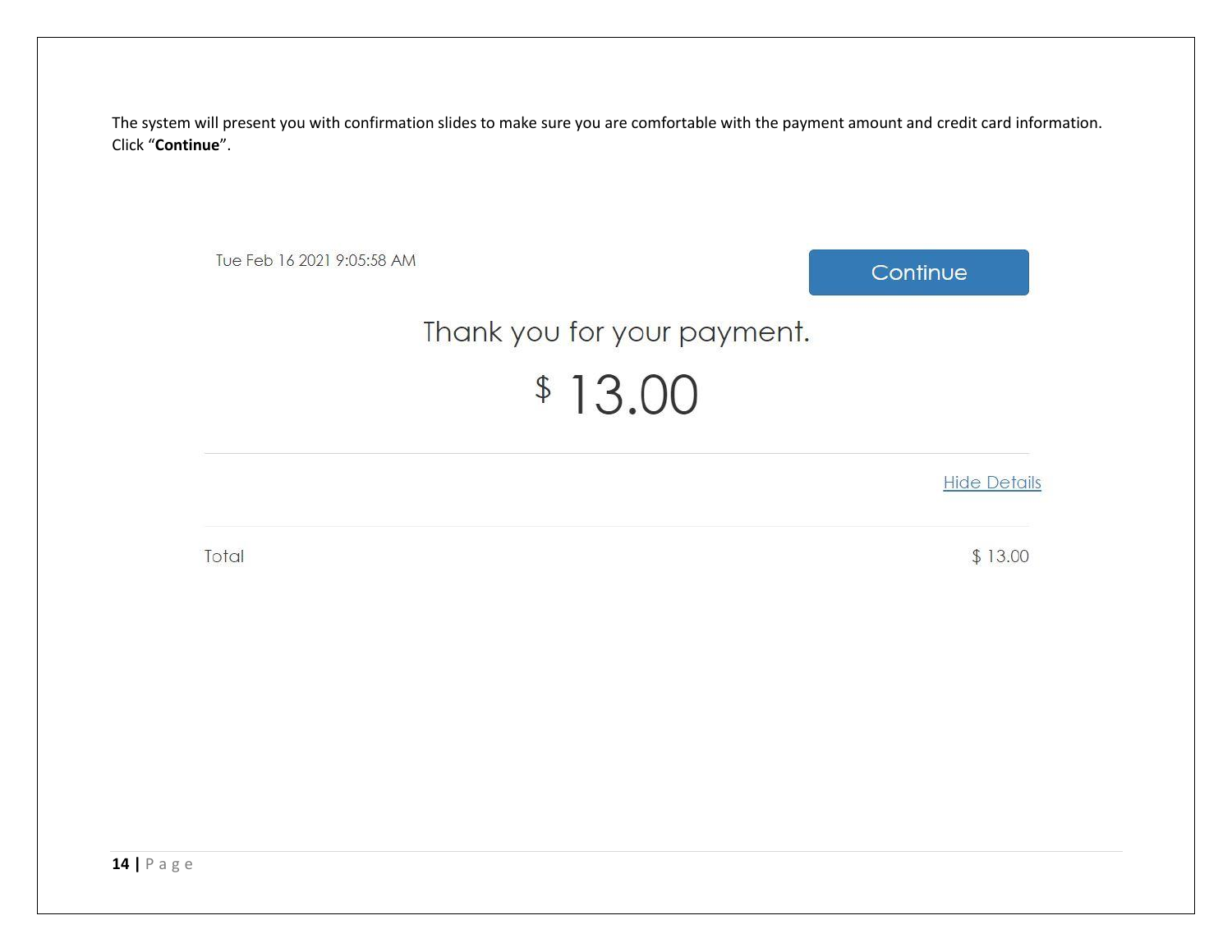The system will present you with confirmation slides to make sure you are comfortable with the payment amount and credit card information. Click "**Continue**".

Tue Feb 16 2021 9:05:58 AM

Continue

## Thank you for your payment.

# $$13.00$

**Hide Details** 

Total

 $$13.00$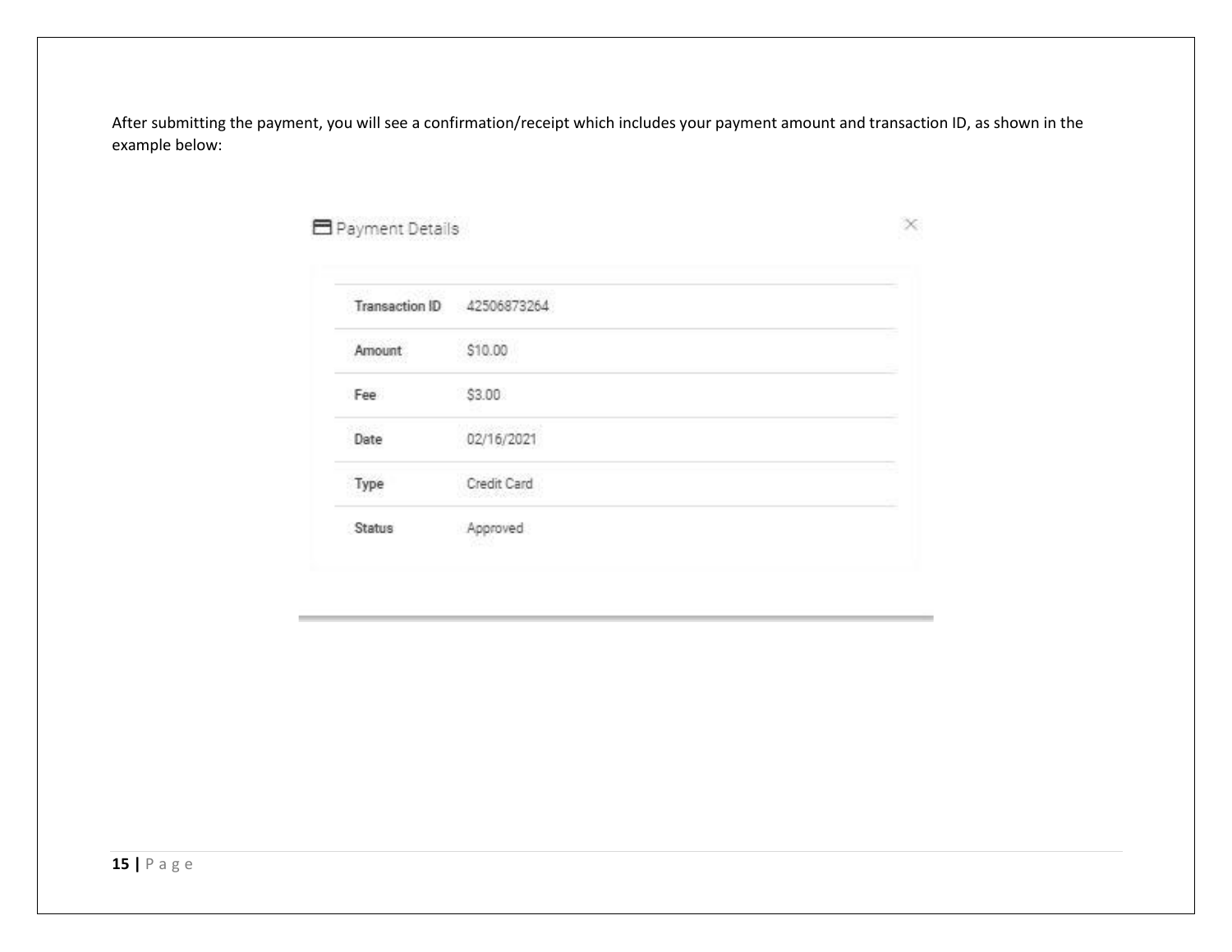After submitting the payment, you will see a confirmation/receipt which includes your payment amount and transaction ID, as shown in the example below:

### Payment Details

 $\times$ 

|        | Transaction ID 42506873264 |  |
|--------|----------------------------|--|
| Amount | \$10.00                    |  |
| Fee    | \$3.00                     |  |
| Date   | 02/16/2021                 |  |
| Type   | Credit Card                |  |
| Status | Approved                   |  |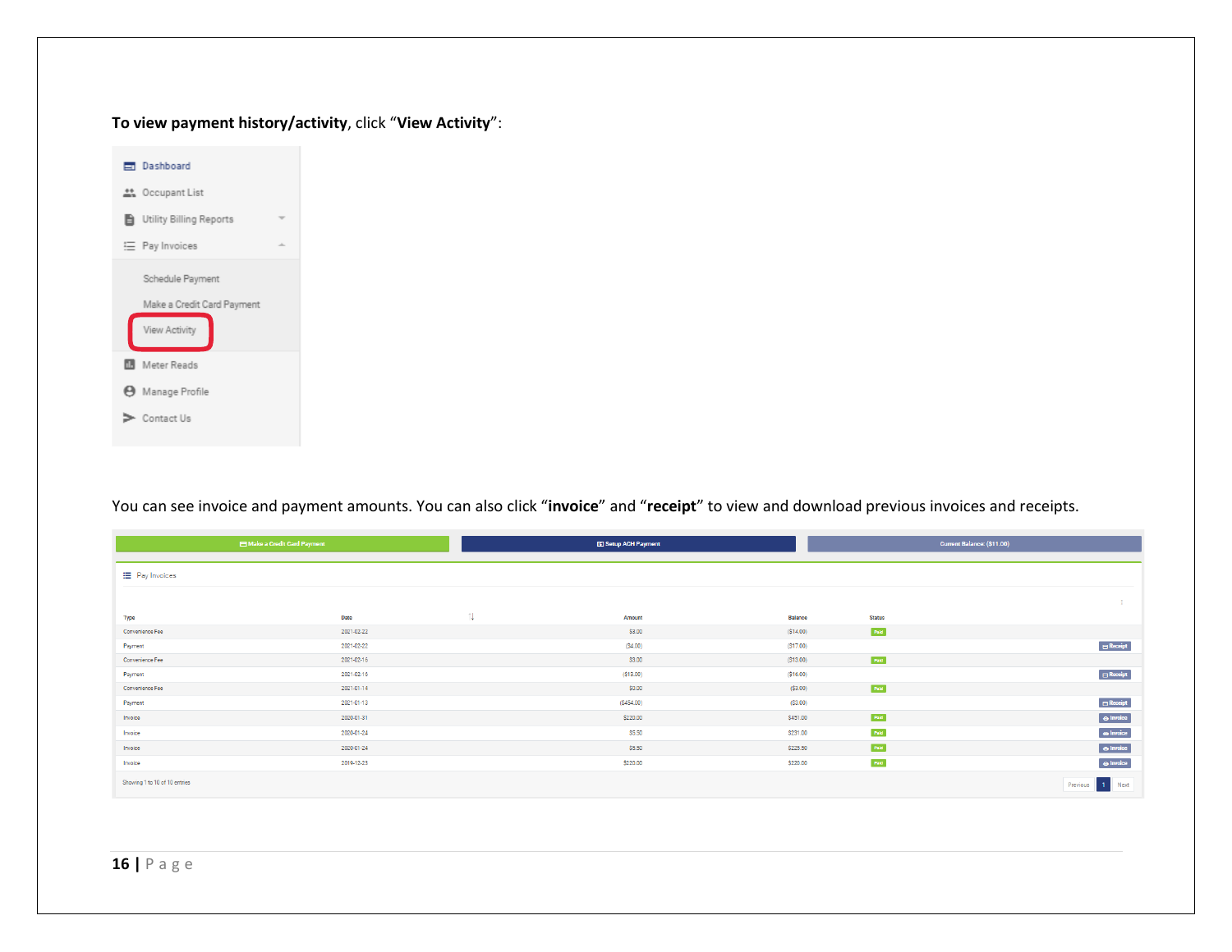#### **To view payment history/activity**, click "**View Activity**":



#### You can see invoice and payment amounts. You can also click "**invoice**" and "**receipt**" to view and download previous invoices and receipts.

| Make a Credit Card Payment    |            | <b>ED Setup ACH Payment</b> |           |          |               | Current Balance: (\$11.00)      |
|-------------------------------|------------|-----------------------------|-----------|----------|---------------|---------------------------------|
| E Pay Invoices                |            |                             |           |          |               |                                 |
|                               |            |                             |           |          |               |                                 |
| <b>Type</b>                   | Date       | 11                          | Amount    | Balance  | <b>Status</b> |                                 |
| Convenience Fee               | 2021-02-22 |                             | \$3.00    | (S14.00) | Pald          |                                 |
| Payment                       | 2021-02-22 |                             | (S4.00)   | (S17.00) |               | $\overline{\mathbf{B}}$ Receipt |
| Convenience Fee               | 2021-02-16 |                             | \$3.00    | (S13.00) | Pald          |                                 |
| Payment                       | 2021-02-16 |                             | (S13.00)  | (S16.00) |               | $B$ Receipt                     |
| Convenience Fee               | 2021-01-14 |                             | \$0.00    | (S3.00)  | Pald          |                                 |
| Payment                       | 2021-01-13 |                             | (S454.00) | (S3.00)  |               | $B$ Receipt                     |
| Invoice                       | 2020-01-31 |                             | \$220.00  | \$451.00 | Pold          | $\odot$ Invoice                 |
| Invoice                       | 2020-01-24 |                             | \$5.50    | \$231.00 | Pold          | $\odot$ Invoice                 |
| Invoice                       | 2020-01-24 |                             | \$5.50    | \$225.50 | Pald          | $\Theta$ Invoice                |
| Invoice                       | 2019-12-23 |                             | \$220.00  | \$220.00 | Pald          | $\Theta$ Invoice                |
| Showing 1 to 10 of 10 entries |            |                             |           |          |               | 1 Next<br>Previous              |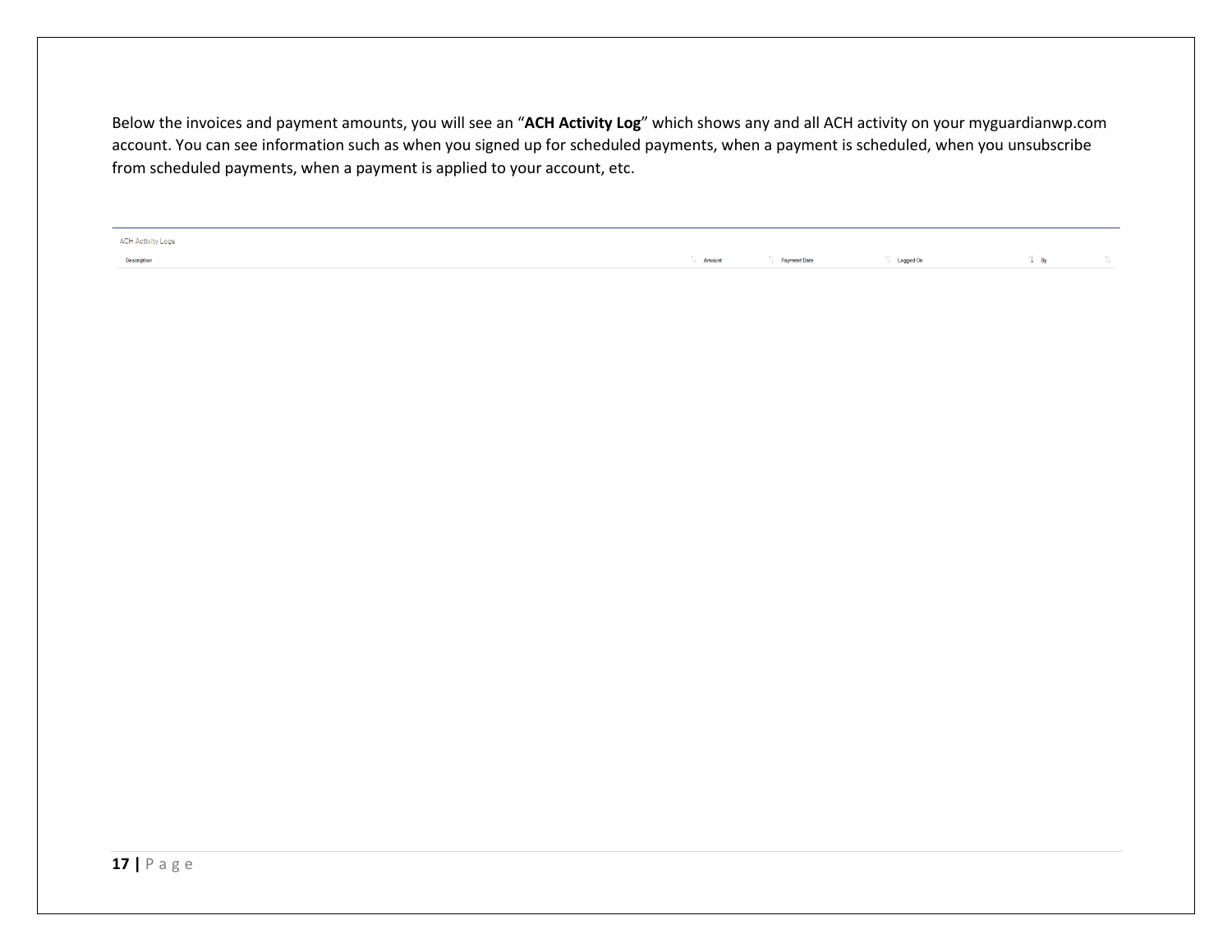Below the invoices and payment amounts, you will see an "**ACH Activity Log**" which shows any and all ACH activity on your myguardianwp.com account. You can see information such as when you signed up for scheduled payments, when a payment is scheduled, when you unsubscribe from scheduled payments, when a payment is applied to your account, etc.

**ACH Activity Logs** Description

 $\Box$  Amount **Payment Date**   $\uparrow\downarrow$  – Logged On

 $\uparrow \downarrow$  By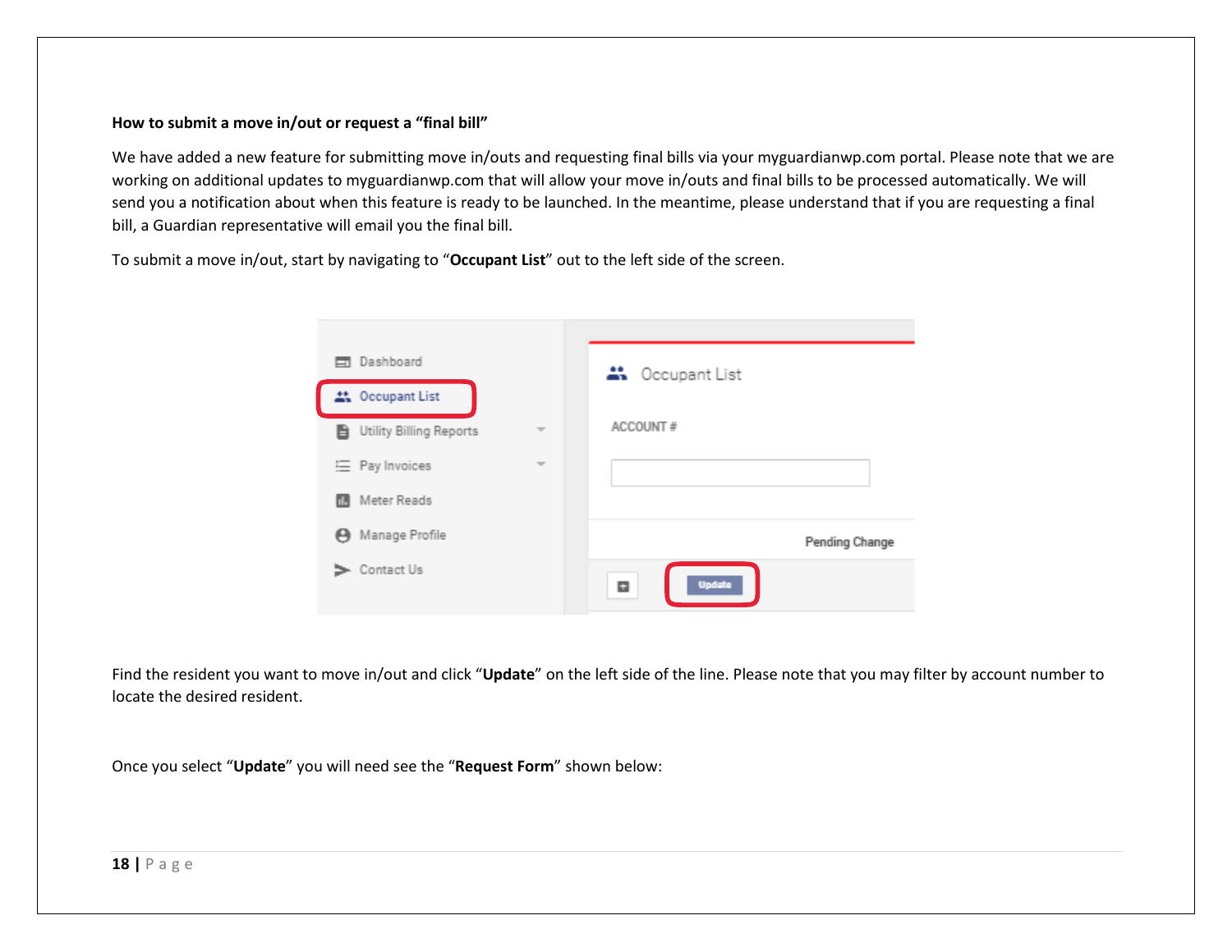#### **How to submit a move in/out or request a "final bill"**

We have added a new feature for submitting move in/outs and requesting final bills via your myguardianwp.com portal. Please note that we are working on additional updates to myguardianwp.com that will allow your move in/outs and final bills to be processed automatically. We will send you a notification about when this feature is ready to be launched. In the meantime, please understand that if you are requesting a final bill, a Guardian representative will email you the final bill.

To submit a move in/out, start by navigating to "**Occupant List**" out to the left side of the screen.

| Dashboard<br>ET.        |   | <b>At Occupant List</b> |
|-------------------------|---|-------------------------|
| 21 Occupant List        |   |                         |
| Utility Billing Reports | ÷ | ACCOUNT#                |
| 三 Pay Invoices          | ₩ |                         |
| Meter Reads             |   |                         |
| Manage Profile<br>Θ     |   | Pending Change          |
| Contact Us              |   | <b>Update</b><br>E      |

Find the resident you want to move in/out and click "**Update**" on the left side of the line. Please note that you may filter by account number to locate the desired resident.

Once you select "**Update**" you will need see the "**Request Form**" shown below: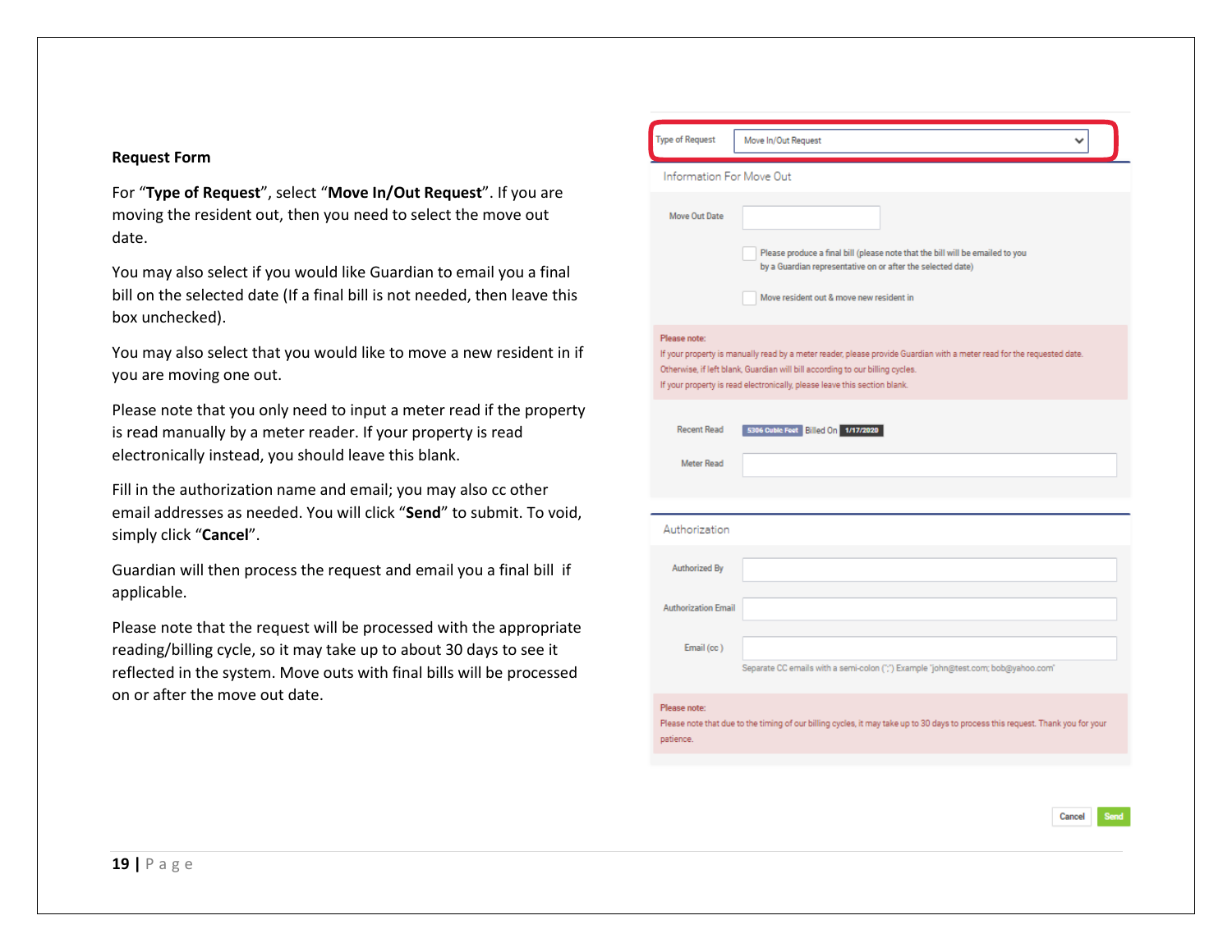#### **Request Form**

For "**Type of Request**", select "**Move In/Out Request**". If you are moving the resident out, then you need to select the move out date.

You may also select if you would like Guardian to email you a final bill on the selected date (If a final bill is not needed, then leave this box unchecked).

You may also select that you would like to move a new resident in if you are moving one out.

Please note that you only need to input a meter read if the property is read manually by a meter reader. If your property is read electronically instead, you should leave this blank.

Fill in the authorization name and email; you may also cc other email addresses as needed. You will click "**Send**" to submit. To void, simply click "**Cancel**".

Guardian will then process the request and email you a final bill if applicable.

Please note that the request will be processed with the appropriate reading/billing cycle, so it may take up to about 30 days to see it reflected in the system. Move outs with final bills will be processed on or after the move out date.

| Information For Move Out                                                                                                                                                                                                                                                                             |  |
|------------------------------------------------------------------------------------------------------------------------------------------------------------------------------------------------------------------------------------------------------------------------------------------------------|--|
|                                                                                                                                                                                                                                                                                                      |  |
| Move Out Date<br>Please produce a final bill (please note that the bill will be emailed to you<br>by a Guardian representative on or after the selected date)                                                                                                                                        |  |
| Move resident out & move new resident in                                                                                                                                                                                                                                                             |  |
| Please note:<br>If your property is manually read by a meter reader, please provide Guardian with a meter read for the requested date.<br>Otherwise, if left blank, Guardian will bill according to our billing cycles.<br>If your property is read electronically, please leave this section blank. |  |
| <b>Recent Read</b><br>5306 Cubic Feet Billed On 1/17/2020                                                                                                                                                                                                                                            |  |
| Meter Read                                                                                                                                                                                                                                                                                           |  |
| Authorization                                                                                                                                                                                                                                                                                        |  |
| Authorized By                                                                                                                                                                                                                                                                                        |  |
| <b>Authorization Email</b>                                                                                                                                                                                                                                                                           |  |
| Email (cc)<br>Separate CC emails with a semi-colon (";") Example "john@test.com; bob@yahoo.com"                                                                                                                                                                                                      |  |
| Please note:<br>Please note that due to the timing of our billing cycles, it may take up to 30 days to process this request. Thank you for your<br>patience.                                                                                                                                         |  |

Cancel